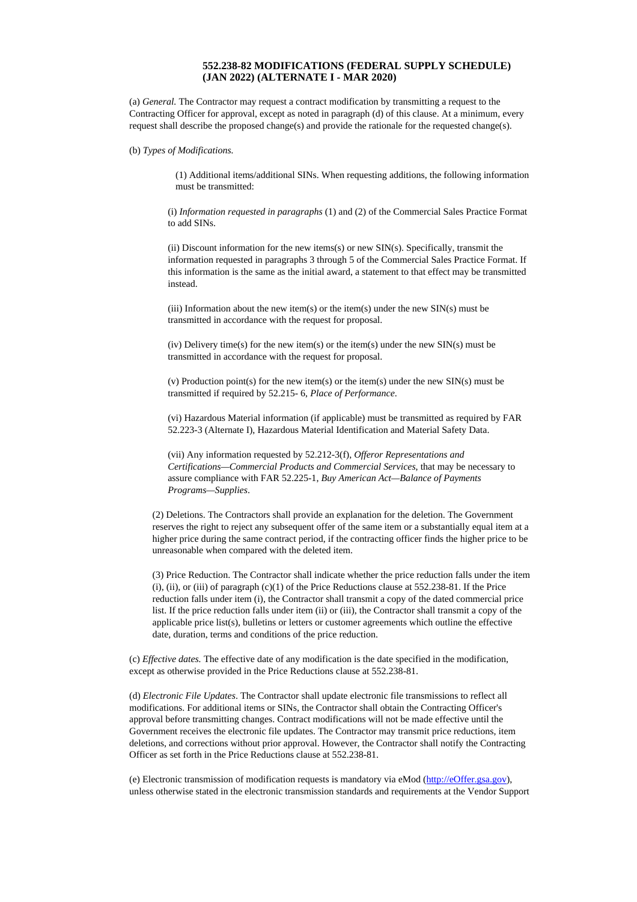## **552.238-82 MODIFICATIONS (FEDERAL SUPPLY SCHEDULE) (JAN 2022) (ALTERNATE I - MAR 2020)**

(a) *General.* The Contractor may request a contract modification by transmitting a request to the Contracting Officer for approval, except as noted in paragraph (d) of this clause. At a minimum, every request shall describe the proposed change(s) and provide the rationale for the requested change(s).

(b) *Types of Modifications.*

(1) Additional items/additional SINs. When requesting additions, the following information must be transmitted:

(i) *Information requested in paragraphs* (1) and (2) of the Commercial Sales Practice Format to add SINs.

(ii) Discount information for the new items(s) or new  $\text{SIN}(s)$ . Specifically, transmit the information requested in paragraphs 3 through 5 of the Commercial Sales Practice Format. If this information is the same as the initial award, a statement to that effect may be transmitted instead.

(iii) Information about the new item(s) or the item(s) under the new  $\text{SIN}(s)$  must be transmitted in accordance with the request for proposal.

(iv) Delivery time(s) for the new item(s) or the item(s) under the new SIN(s) must be transmitted in accordance with the request for proposal.

(v) Production point(s) for the new item(s) or the item(s) under the new SIN(s) must be transmitted if required by 52.215- 6, *Place of Performance*.

(vi) Hazardous Material information (if applicable) must be transmitted as required by FAR 52.223-3 (Alternate I), Hazardous Material Identification and Material Safety Data.

(vii) Any information requested by 52.212-3(f), *Offeror Representations and Certifications—Commercial Products and Commercial Services*, that may be necessary to assure compliance with FAR 52.225-1, *Buy American Act—Balance of Payments Programs—Supplies*.

(2) Deletions. The Contractors shall provide an explanation for the deletion. The Government reserves the right to reject any subsequent offer of the same item or a substantially equal item at a higher price during the same contract period, if the contracting officer finds the higher price to be unreasonable when compared with the deleted item.

(3) Price Reduction. The Contractor shall indicate whether the price reduction falls under the item  $(i)$ ,  $(ii)$ , or  $(iii)$  of paragraph  $(c)(1)$  of the Price Reductions clause at 552.238-81. If the Price reduction falls under item (i), the Contractor shall transmit a copy of the dated commercial price list. If the price reduction falls under item (ii) or (iii), the Contractor shall transmit a copy of the applicable price list(s), bulletins or letters or customer agreements which outline the effective date, duration, terms and conditions of the price reduction.

(c) *Effective dates.* The effective date of any modification is the date specified in the modification, except as otherwise provided in the Price Reductions clause at 552.238-81.

(d) *Electronic File Updates*. The Contractor shall update electronic file transmissions to reflect all modifications. For additional items or SINs, the Contractor shall obtain the Contracting Officer's approval before transmitting changes. Contract modifications will not be made effective until the Government receives the electronic file updates. The Contractor may transmit price reductions, item deletions, and corrections without prior approval. However, the Contractor shall notify the Contracting Officer as set forth in the Price Reductions clause at 552.238-81.

(e) Electronic transmission of modification requests is mandatory via eMod [\(http://eOffer.gsa.gov](http://eOffer.gsa.gov/)), unless otherwise stated in the electronic transmission standards and requirements at the Vendor Support